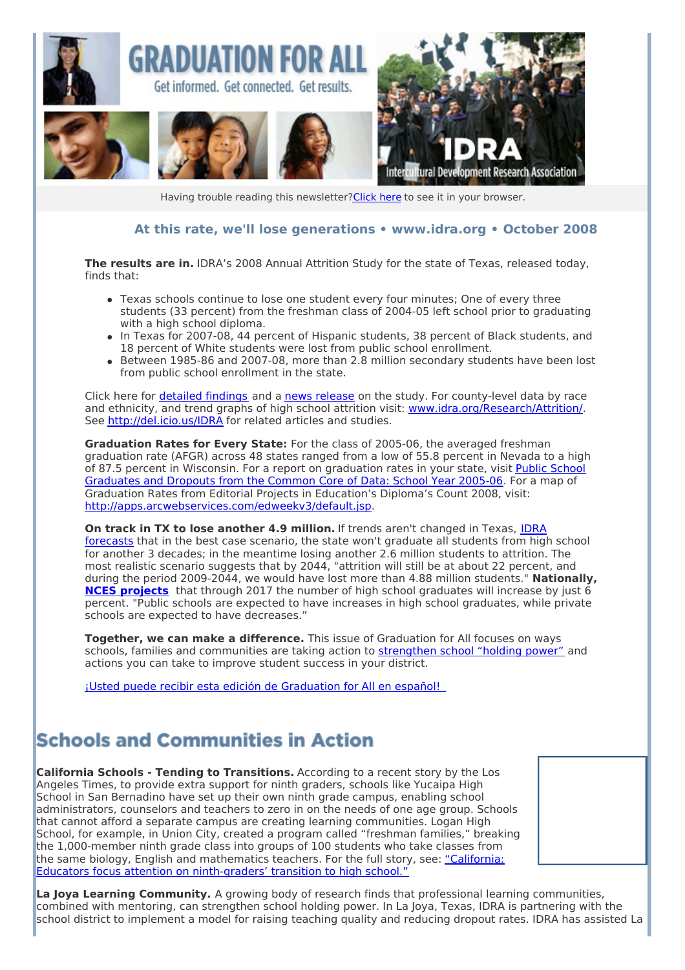

Having trouble reading this newsletter? Click here to see it in your browser.

#### **At this rate, we'll lose generations • [www.idra.org](http://idra.createsend1.com/t/1/l/giujl/l/www.idra.org) • October 2008**

**The results are in.** IDRA's 2008 Annual Attrition Study for the state of Texas, released today, finds that:

- Texas schools continue to lose one student every four minutes; One of every three students (33 percent) from the freshman class of 2004-05 left school prior to graduating with a high school diploma.
- In Texas for 2007-08, 44 percent of Hispanic students, 38 percent of Black students, and 18 percent of White students were lost from public school enrollment.
- Between 1985-86 and 2007-08, more than 2.8 million secondary students have been lost from public school enrollment in the state.

Click here for **[detailed](http://idra.createsend1.com/t/1/l/giujl/l/www.idra.org/IDRA_Newsletter/October_2008_Student_Engagement/Texas_Public_School_Attrition_Study_2007_08/) findings** and a news [release](http://idra.createsend1.com/t/1/l/giujl/l/www.idra.org/Press_Room/News_Releases_-_Recent/At_Current_Pace/) on the study. For county-level data by race and ethnicity, and trend graphs of high school attrition visit: [www.idra.org/Research/Attrition/](http://idra.createsend1.com/t/1/l/giujl/l/www.idra.org/Research/Attrition/). See [http://del.icio.us/IDRA](http://idra.createsend1.com/t/1/l/giujl/l/del.icio.us/IDRA) for related articles and studies.

**Graduation Rates for Every State:** For the class of 2005-06, the averaged freshman graduation rate (AFGR) across 48 states ranged from a low of 55.8 percent in Nevada to a high of 87.5 percent in Wisconsin. For a report on [graduation](http://idra.createsend1.com/t/1/l/giujl/l/nces.ed.gov/pubsearch/pubsinfo.asp?pubid=2008353rev) rates in your state, visit Public School Graduates and Dropouts from the Common Core of Data: School Year 2005-06. For a map of Graduation Rates from Editorial Projects in Education's Diploma's Count 2008, visit: [http://apps.arcwebservices.com/edweekv3/default.jsp](http://idra.createsend1.com/t/1/l/giujl/l/apps.arcwebservices.com/edweekv3/default.jsp).

**On track in TX to lose another 4.9 million.** If trends aren't changed in Texas, IDRA [forecasts](http://idra.createsend1.com/t/1/l/giujl/l/www.idra.org/images/stories/Will_Attrition_Rate_Get_to_Zero.pdf) that in the best case scenario, the state won't graduate all students from high school for another 3 decades; in the meantime losing another 2.6 million students to attrition. The most realistic scenario suggests that by 2044, "attrition will still be at about 22 percent, and during the period 2009-2044, we would have lost more than 4.88 million students." **Nationally, NCES [projects](http://idra.createsend1.com/t/1/l/giujl/l/nces.ed.gov/programs/projections/projections2017/sec3a.asp)** that through 2017 the number of high school graduates will increase by just 6 percent. "Public schools are expected to have increases in high school graduates, while private schools are expected to have decreases."

**Together, we can make a difference.** This issue of Graduation for All focuses on ways schools, families and communities are taking action to [strengthen](http://idra.createsend1.com/t/1/l/giujl/l/www.idra.org/School_Holding_Power/) school "holding power" and actions you can take to improve student success in your district.

¡Usted puede recibir esta edición de [Graduation](http://idra.createsend1.com/t/1/l/giujl/l/idra.createsend.com/viewEmail.aspx?cID=1FA6C5B4FA885808&sID=59F6F44BDEEB2530&dID=5CB9CB5A1CE688CE) for All en español!

#### **Schools and Communities in Action**

**California Schools - Tending to Transitions.** According to a recent story by the Los Angeles Times, to provide extra support for ninth graders, schools like Yucaipa High School in San Bernadino have set up their own ninth grade campus, enabling school administrators, counselors and teachers to zero in on the needs of one age group. Schools that cannot afford a separate campus are creating learning communities. Logan High School, for example, in Union City, created a program called "freshman families," breaking the 1,000-member ninth grade class into groups of 100 students who take classes from the same biology, English and mathematics teachers. For the full story, see: "California: Educators focus attention on [ninth-graders'](http://idra.createsend1.com/t/1/l/giujl/l/www.latimes.com/news/local/la-me-ninth15-2008sep15,0,6651228.story) transition to high school."

**La Joya Learning Community.** A growing body of research finds that professional learning communities, combined with mentoring, can strengthen school holding power. In La Joya, Texas, IDRA is partnering with the school district to implement a model for raising teaching quality and reducing dropout rates. IDRA has assisted La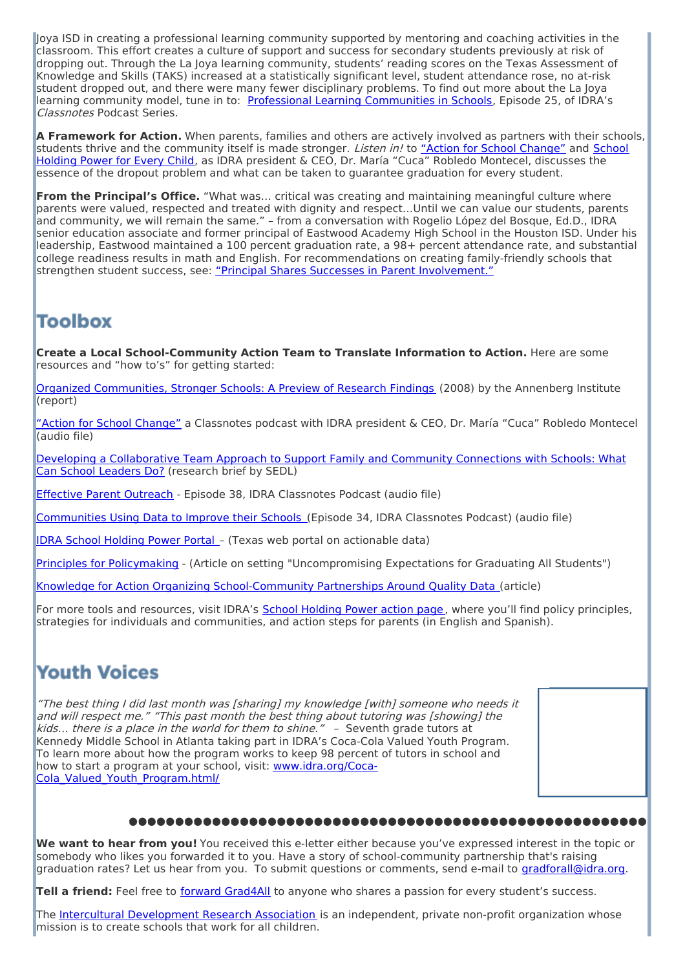Joya ISD in creating a professional learning community supported by mentoring and coaching activities in the classroom. This effort creates a culture of support and success for secondary students previously at risk of dropping out. Through the La Joya learning community, students' reading scores on the Texas Assessment of Knowledge and Skills (TAKS) increased at a statistically significant level, student attendance rose, no at-risk student dropped out, and there were many fewer disciplinary problems. To find out more about the La Joya learning community model, tune in to: Professional Learning [Communities](http://idra.createsend1.com/t/1/l/giujl/l/www.idra.org/Podcasts/Resources/Professional_Learning_Communities_in_Schools/) in Schools, Episode 25, of IDRA's Classnotes Podcast Series.

**A Framework for Action.** When parents, families and others are actively involved as partners with their schools, students thrive and the [community](http://idra.createsend1.com/t/1/l/giujl/l/www.idra.org/Podcasts/Resources/School_Holding_Power_for_Every_Child/) itself is made stronger. *Listen in!* to "Action for School [Change"](http://idra.createsend1.com/t/1/l/giujl/l/www.idra.org/Podcasts/) and School Holding Power for Every Child, as IDRA president & CEO, Dr. María "Cuca" Robledo Montecel, discusses the essence of the dropout problem and what can be taken to guarantee graduation for every student.

**From the Principal's Office.** "What was… critical was creating and maintaining meaningful culture where parents were valued, respected and treated with dignity and respect…Until we can value our students, parents and community, we will remain the same." – from a conversation with Rogelio López del Bosque, Ed.D., IDRA senior education associate and former principal of Eastwood Academy High School in the Houston ISD. Under his leadership, Eastwood maintained a 100 percent graduation rate, a 98+ percent attendance rate, and substantial college readiness results in math and English. For recommendations on creating family-friendly schools that strengthen student success, see: "Principal Shares Successes in Parent [Involvement."](http://idra.createsend1.com/t/1/l/giujl/l/www.idra.org/IDRA_Newsletter/August_2006_Community_Engagement/Principal_Shares_Successes_in_Parent_Involvement/)

#### **Toolbox**

**Create a Local School-Community Action Team to Translate Information to Action.** Here are some resources and "how to's" for getting started:

Organized [Communities,](http://idra.createsend1.com/t/1/l/giujl/l/www.annenberginstitute.org/CIP/publications/2008/organized-communities-stronger-schools.pdf) Stronger Schools: A Preview of Research Findings (2008) by the Annenberg Institute (report)

"Action for School [Change"](http://idra.createsend1.com/t/1/l/giujl/l/www.idra.org/Podcasts/) a Classnotes podcast with IDRA president & CEO, Dr. María "Cuca" Robledo Montecel (audio file)

Developing a [Collaborative](http://idra.createsend1.com/t/1/l/giujl/l/www.sedl.org/connections/resources/rb/research-brief3.pdf) Team Approach to Support Family and Community Connections with Schools: What Can School Leaders Do? (research brief by SEDL)

Effective Parent [Outreach](http://idra.createsend1.com/t/1/l/giujl/l/www.idra.org/Podcasts/Resources/Effective_Parent_Outreach/) - Episode 38, IDRA Classnotes Podcast (audio file)

[Communities](http://idra.createsend1.com/t/1/l/giujl/l/www.idra.org/Podcasts/Resources/Communities_Using_Data_to_Improve_their_Schools/) Using Data to Improve their Schools (Episode 34, IDRA Classnotes Podcast) (audio file)

IDRA School [Holding](http://idra.createsend1.com/t/1/l/giujl/l/www.idra.org/portal/) Power Portal – (Texas web portal on actionable data)

Principles for [Policymaking](http://idra.createsend1.com/t/1/l/giujl/l/www.idra.org/School_Holding_Power/Policy_Principles/) - (Article on setting "Uncompromising Expectations for Graduating All Students")

Knowledge for Action Organizing [School-Community](http://idra.createsend1.com/t/1/l/giujl/l/www.idra.org/IDRA_Newsletter/January_2008_Parent_and_Community_Engagement/Knowledge_for_Action/) Partnerships Around Quality Data (article)

For more tools and resources, visit IDRA's School [Holding](http://idra.createsend1.com/t/1/l/giujl/l/www.idra.org/School_Holding_Power/) Power action page, where you'll find policy principles, strategies for individuals and communities, and action steps for parents (in English and Spanish).

### **Youth Voices**

"The best thing I did last month was [sharing] my knowledge [with] someone who needs it and will respect me." "This past month the best thing about tutoring was [showing] the kids... there is a place in the world for them to shine." - Seventh grade tutors at Kennedy Middle School in Atlanta taking part in IDRA's Coca-Cola Valued Youth Program. To learn more about how the program works to keep 98 percent of tutors in school and how to start a program at your school, visit: www.idra.org/Coca-Cola Valued Youth Program.html/

#### **●●●●●●●●●●●●●●●●●●●●●●●●●●●●●●●●●●●●●●●●●●●●●●●●●●●●●●●●**

**We want to hear from you!** You received this e-letter either because you've expressed interest in the topic or somebody who likes you forwarded it to you. Have a story of school-community partnership that's raising graduation rates? Let us hear from you. To submit questions or comments, send e-mail to [gradforall@idra.org](mailto:gradforall@idra.org).

**Tell a friend:** Feel free to forward [Grad4All](http://idra.createsend1.com/t/1/l/giujl/l/idra.forward-email.com/?r.l.giujl.fa8b08a4) to anyone who shares a passion for every student's success.

The Intercultural [Development](http://idra.createsend1.com/t/1/l/giujl/l/www.idra.org/) Research Association is an independent, private non-profit organization whose mission is to create schools that work for all children.